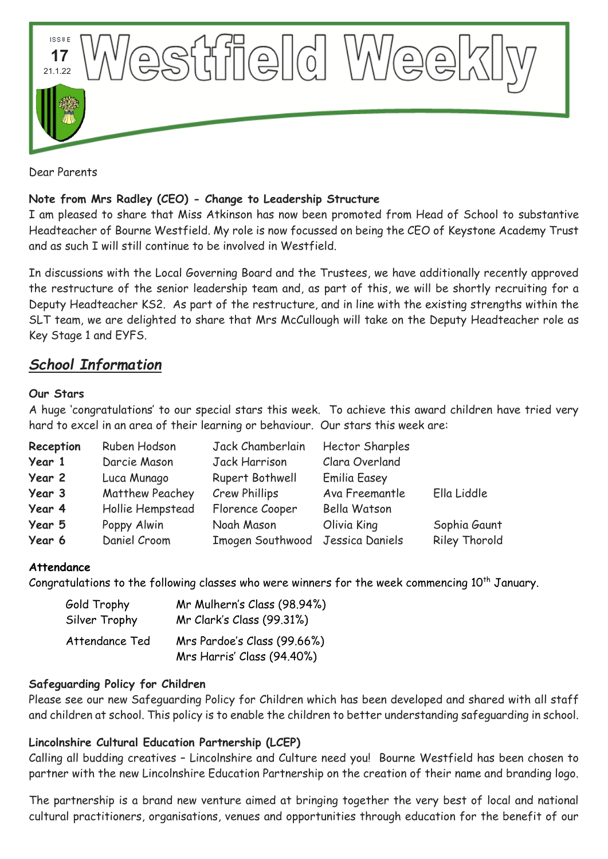

Dear Parents

#### **Note from Mrs Radley (CEO) - Change to Leadership Structure**

I am pleased to share that Miss Atkinson has now been promoted from Head of School to substantive Headteacher of Bourne Westfield. My role is now focussed on being the CEO of Keystone Academy Trust and as such I will still continue to be involved in Westfield.

In discussions with the Local Governing Board and the Trustees, we have additionally recently approved the restructure of the senior leadership team and, as part of this, we will be shortly recruiting for a Deputy Headteacher KS2. As part of the restructure, and in line with the existing strengths within the SLT team, we are delighted to share that Mrs McCullough will take on the Deputy Headteacher role as Key Stage 1 and EYFS.

# *School Information*

#### **Our Stars**

A huge 'congratulations' to our special stars this week. To achieve this award children have tried very hard to excel in an area of their learning or behaviour. Our stars this week are:

| Reception | Ruben Hodson     | Jack Chamberlain                 | <b>Hector Sharples</b> |                      |
|-----------|------------------|----------------------------------|------------------------|----------------------|
| Year 1    | Darcie Mason     | Jack Harrison                    | Clara Overland         |                      |
| Year 2    | Luca Munago      | Rupert Bothwell                  | <b>Emilia Easey</b>    |                      |
| Year 3    | Matthew Peachey  | Crew Phillips                    | Ava Freemantle         | Ella Liddle          |
| Year 4    | Hollie Hempstead | Florence Cooper                  | Bella Watson           |                      |
| Year 5    | Poppy Alwin      | Noah Mason                       | Olivia King            | Sophia Gaunt         |
| Year 6    | Daniel Croom     | Imogen Southwood Jessica Daniels |                        | <b>Riley Thorold</b> |

## **Attendance**

Congratulations to the following classes who were winners for the week commencing  $10^{th}$  January.

| Gold Trophy<br>Silver Trophy | Mr Mulhern's Class (98.94%)<br>Mr Clark's Class (99.31%) |  |
|------------------------------|----------------------------------------------------------|--|
| Attendance Ted               | Mrs Pardoe's Class (99.66%)                              |  |
|                              | Mrs Harris' Class (94.40%)                               |  |

#### **Safeguarding Policy for Children**

Please see our new Safeguarding Policy for Children which has been developed and shared with all staff and children at school. This policy is to enable the children to better understanding safeguarding in school.

## **Lincolnshire Cultural Education Partnership (LCEP)**

Calling all budding creatives – Lincolnshire and Culture need you! Bourne Westfield has been chosen to partner with the new Lincolnshire Education Partnership on the creation of their name and branding logo.

The partnership is a brand new venture aimed at bringing together the very best of local and national cultural practitioners, organisations, venues and opportunities through education for the benefit of our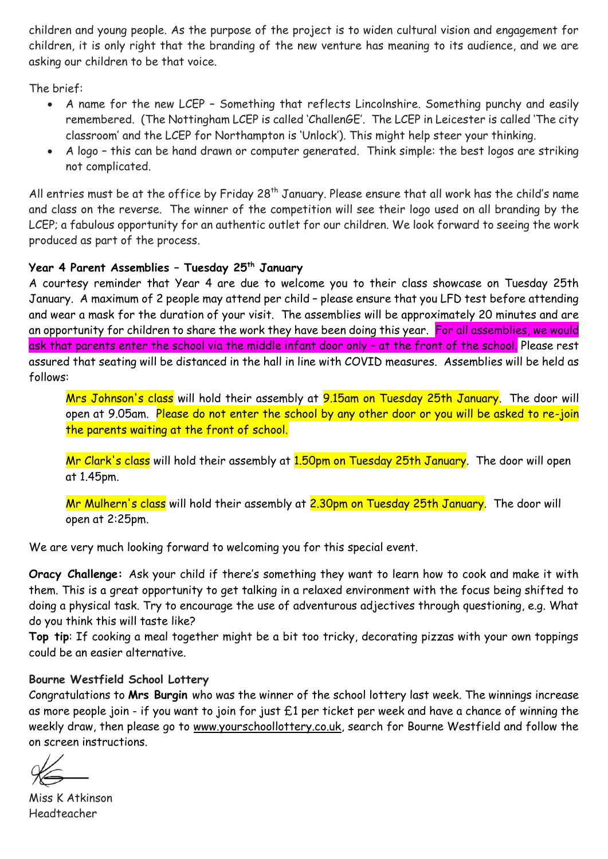children and young people. As the purpose of the project is to widen cultural vision and engagement for children, it is only right that the branding of the new venture has meaning to its audience, and we are asking our children to be that voice.

The brief:

- A name for the new LCEP Something that reflects Lincolnshire. Something punchy and easily remembered. (The Nottingham LCEP is called 'ChallenGE'. The LCEP in Leicester is called 'The city classroom' and the LCEP for Northampton is 'Unlock'). This might help steer your thinking.
- A logo this can be hand drawn or computer generated. Think simple: the best logos are striking not complicated.

All entries must be at the office by Friday 28<sup>th</sup> January. Please ensure that all work has the child's name and class on the reverse. The winner of the competition will see their logo used on all branding by the LCEP; a fabulous opportunity for an authentic outlet for our children. We look forward to seeing the work produced as part of the process.

#### **Year 4 Parent Assemblies – Tuesday 25th January**

A courtesy reminder that Year 4 are due to welcome you to their class showcase on Tuesday 25th January. A maximum of 2 people may attend per child – please ensure that you LFD test before attending and wear a mask for the duration of your visit. The assemblies will be approximately 20 minutes and are an opportunity for children to share the work they have been doing this year. For all assemblies, we would ask that parents enter the school via the middle infant door only – at the front of the school. Please rest assured that seating will be distanced in the hall in line with COVID measures. Assemblies will be held as follows:

Mrs Johnson's class will hold their assembly at 9.15am on Tuesday 25th January. The door will open at 9.05am. Please do not enter the school by any other door or you will be asked to re-join the parents waiting at the front of school.

Mr Clark's class will hold their assembly at 1.50pm on Tuesday 25th January. The door will open at 1.45pm.

Mr Mulhern's class will hold their assembly at <mark>2.30pm on Tuesday 25th January</mark>. The door will open at 2:25pm.

We are very much looking forward to welcoming you for this special event.

**Oracy Challenge:** Ask your child if there's something they want to learn how to cook and make it with them. This is a great opportunity to get talking in a relaxed environment with the focus being shifted to doing a physical task. Try to encourage the use of adventurous adjectives through questioning, e.g. What do you think this will taste like?

**Top tip**: If cooking a meal together might be a bit too tricky, decorating pizzas with your own toppings could be an easier alternative.

## **Bourne Westfield School Lottery**

Congratulations to **Mrs Burgin** who was the winner of the school lottery last week. The winnings increase as more people join - if you want to join for just £1 per ticket per week and have a chance of winning the weekly draw, then please go to [www.yourschoollottery.co.uk,](http://www.yourschoollottery.co.uk/) search for Bourne Westfield and follow the on screen instructions.

Miss K Atkinson Headteacher